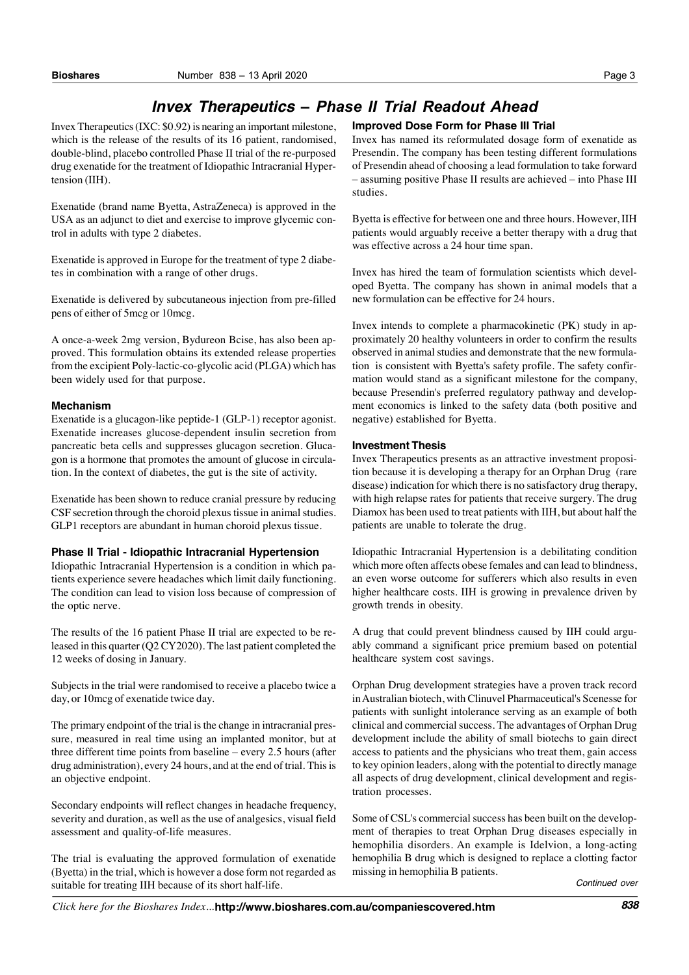# *Invex Therapeutics ñ Phase II Trial Readout Ahead*

Invex Therapeutics(IXC: \$0.92) is nearing an important milestone, which is the release of the results of its 16 patient, randomised, double-blind, placebo controlled Phase II trial of the re-purposed drug exenatide for the treatment of Idiopathic Intracranial Hypertension (IIH).

Exenatide (brand name Byetta, AstraZeneca) is approved in the USA as an adjunct to diet and exercise to improve glycemic control in adults with type 2 diabetes.

Exenatide is approved in Europe for the treatment of type 2 diabetes in combination with a range of other drugs.

Exenatide is delivered by subcutaneous injection from pre-filled pens of either of 5mcg or 10mcg.

A once-a-week 2mg version, Bydureon Bcise, has also been approved. This formulation obtains its extended release properties from the excipient Poly-lactic-co-glycolic acid (PLGA) which has been widely used for that purpose.

### **Mechanism**

Exenatide is a glucagon-like peptide-1 (GLP-1) receptor agonist. Exenatide increases glucose-dependent insulin secretion from pancreatic beta cells and suppresses glucagon secretion. Glucagon is a hormone that promotes the amount of glucose in circulation. In the context of diabetes, the gut is the site of activity.

Exenatide has been shown to reduce cranial pressure by reducing CSF secretion through the choroid plexus tissue in animal studies. GLP1 receptors are abundant in human choroid plexus tissue.

## **Phase II Trial - Idiopathic Intracranial Hypertension**

Idiopathic Intracranial Hypertension is a condition in which patients experience severe headaches which limit daily functioning. The condition can lead to vision loss because of compression of the optic nerve.

The results of the 16 patient Phase II trial are expected to be released in this quarter (Q2 CY2020). The last patient completed the 12 weeks of dosing in January.

Subjects in the trial were randomised to receive a placebo twice a day, or 10mcg of exenatide twice day.

The primary endpoint of the trial is the change in intracranial pressure, measured in real time using an implanted monitor, but at three different time points from baseline  $-$  every 2.5 hours (after drug administration), every 24 hours, and at the end of trial. This is an objective endpoint.

Secondary endpoints will reflect changes in headache frequency, severity and duration, as well as the use of analgesics, visual field assessment and quality-of-life measures.

The trial is evaluating the approved formulation of exenatide (Byetta) in the trial, which is however a dose form not regarded as suitable for treating IIH because of its short half-life.

## **Improved Dose Form for Phase III Trial**

Invex has named its reformulated dosage form of exenatide as Presendin. The company has been testing different formulations of Presendin ahead of choosing a lead formulation to take forward – assuming positive Phase II results are achieved – into Phase III studies.

Byetta is effective for between one and three hours. However, IIH patients would arguably receive a better therapy with a drug that was effective across a 24 hour time span.

Invex has hired the team of formulation scientists which developed Byetta. The company has shown in animal models that a new formulation can be effective for 24 hours.

Invex intends to complete a pharmacokinetic (PK) study in approximately 20 healthy volunteers in order to confirm the results observed in animal studies and demonstrate that the new formulation is consistent with Byetta's safety profile. The safety confirmation would stand as a significant milestone for the company, because Presendin's preferred regulatory pathway and development economics is linked to the safety data (both positive and negative) established for Byetta.

## **Investment Thesis**

Invex Therapeutics presents as an attractive investment proposition because it is developing a therapy for an Orphan Drug (rare disease) indication for which there is no satisfactory drug therapy, with high relapse rates for patients that receive surgery. The drug Diamox has been used to treat patients with IIH, but about half the patients are unable to tolerate the drug.

Idiopathic Intracranial Hypertension is a debilitating condition which more often affects obese females and can lead to blindness, an even worse outcome for sufferers which also results in even higher healthcare costs. IIH is growing in prevalence driven by growth trends in obesity.

A drug that could prevent blindness caused by IIH could arguably command a significant price premium based on potential healthcare system cost savings.

Orphan Drug development strategies have a proven track record inAustralian biotech, with Clinuvel Pharmaceutical's Scenesse for patients with sunlight intolerance serving as an example of both clinical and commercial success. The advantages of Orphan Drug development include the ability of small biotechs to gain direct access to patients and the physicians who treat them, gain access to key opinion leaders, along with the potential to directly manage all aspects of drug development, clinical development and registration processes.

Some of CSL's commercial success has been built on the development of therapies to treat Orphan Drug diseases especially in hemophilia disorders. An example is Idelvion, a long-acting hemophilia B drug which is designed to replace a clotting factor missing in hemophilia B patients.

*Continued over*